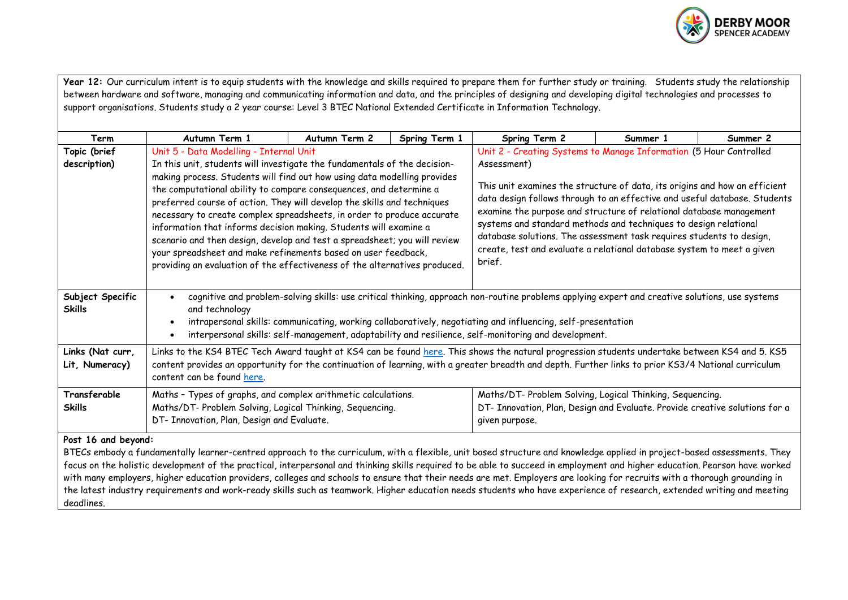

|                                                                                                                                                                                                                                                                                                                                                           | Year 12: Our curriculum intent is to equip students with the knowledge and skills required to prepare them for further study or training. Students study the relationship                                            |                            |               |                                                                                                                                         |          |          |  |  |  |
|-----------------------------------------------------------------------------------------------------------------------------------------------------------------------------------------------------------------------------------------------------------------------------------------------------------------------------------------------------------|----------------------------------------------------------------------------------------------------------------------------------------------------------------------------------------------------------------------|----------------------------|---------------|-----------------------------------------------------------------------------------------------------------------------------------------|----------|----------|--|--|--|
|                                                                                                                                                                                                                                                                                                                                                           | between hardware and software, managing and communicating information and data, and the principles of designing and developing digital technologies and processes to                                                 |                            |               |                                                                                                                                         |          |          |  |  |  |
|                                                                                                                                                                                                                                                                                                                                                           | support organisations. Students study a 2 year course: Level 3 BTEC National Extended Certificate in Information Technology.                                                                                         |                            |               |                                                                                                                                         |          |          |  |  |  |
| Term                                                                                                                                                                                                                                                                                                                                                      | Autumn Term 1                                                                                                                                                                                                        | Autumn Term 2              | Spring Term 1 | Spring Term 2                                                                                                                           | Summer 1 | Summer 2 |  |  |  |
| Topic (brief                                                                                                                                                                                                                                                                                                                                              | Unit 5 - Data Modelling - Internal Unit                                                                                                                                                                              |                            |               | Unit 2 - Creating Systems to Manage Information (5 Hour Controlled                                                                      |          |          |  |  |  |
| description)                                                                                                                                                                                                                                                                                                                                              | In this unit, students will investigate the fundamentals of the decision-                                                                                                                                            |                            |               | Assessment)                                                                                                                             |          |          |  |  |  |
|                                                                                                                                                                                                                                                                                                                                                           | making process. Students will find out how using data modelling provides                                                                                                                                             |                            |               | This unit examines the structure of data, its origins and how an efficient                                                              |          |          |  |  |  |
|                                                                                                                                                                                                                                                                                                                                                           | the computational ability to compare consequences, and determine a                                                                                                                                                   |                            |               |                                                                                                                                         |          |          |  |  |  |
|                                                                                                                                                                                                                                                                                                                                                           | preferred course of action. They will develop the skills and techniques                                                                                                                                              |                            |               | data design follows through to an effective and useful database. Students                                                               |          |          |  |  |  |
|                                                                                                                                                                                                                                                                                                                                                           | necessary to create complex spreadsheets, in order to produce accurate                                                                                                                                               |                            |               | examine the purpose and structure of relational database management<br>systems and standard methods and techniques to design relational |          |          |  |  |  |
|                                                                                                                                                                                                                                                                                                                                                           | information that informs decision making. Students will examine a                                                                                                                                                    |                            |               | database solutions. The assessment task requires students to design,                                                                    |          |          |  |  |  |
|                                                                                                                                                                                                                                                                                                                                                           | scenario and then design, develop and test a spreadsheet; you will review<br>your spreadsheet and make refinements based on user feedback,                                                                           |                            |               | create, test and evaluate a relational database system to meet a given                                                                  |          |          |  |  |  |
|                                                                                                                                                                                                                                                                                                                                                           | providing an evaluation of the effectiveness of the alternatives produced.                                                                                                                                           |                            | brief.        |                                                                                                                                         |          |          |  |  |  |
|                                                                                                                                                                                                                                                                                                                                                           |                                                                                                                                                                                                                      |                            |               |                                                                                                                                         |          |          |  |  |  |
| Subject Specific                                                                                                                                                                                                                                                                                                                                          | cognitive and problem-solving skills: use critical thinking, approach non-routine problems applying expert and creative solutions, use systems<br>$\bullet$                                                          |                            |               |                                                                                                                                         |          |          |  |  |  |
| <b>Skills</b>                                                                                                                                                                                                                                                                                                                                             | and technology                                                                                                                                                                                                       |                            |               |                                                                                                                                         |          |          |  |  |  |
|                                                                                                                                                                                                                                                                                                                                                           | intrapersonal skills: communicating, working collaboratively, negotiating and influencing, self-presentation<br>interpersonal skills: self-management, adaptability and resilience, self-monitoring and development. |                            |               |                                                                                                                                         |          |          |  |  |  |
|                                                                                                                                                                                                                                                                                                                                                           |                                                                                                                                                                                                                      |                            |               |                                                                                                                                         |          |          |  |  |  |
| Links (Nat curr,                                                                                                                                                                                                                                                                                                                                          | Links to the KS4 BTEC Tech Award taught at KS4 can be found here. This shows the natural progression students undertake between KS4 and 5. KS5                                                                       |                            |               |                                                                                                                                         |          |          |  |  |  |
| Lit, Numeracy)                                                                                                                                                                                                                                                                                                                                            | content provides an opportunity for the continuation of learning, with a greater breadth and depth. Further links to prior KS3/4 National curriculum                                                                 |                            |               |                                                                                                                                         |          |          |  |  |  |
|                                                                                                                                                                                                                                                                                                                                                           |                                                                                                                                                                                                                      | content can be found here. |               |                                                                                                                                         |          |          |  |  |  |
| Transferable                                                                                                                                                                                                                                                                                                                                              | Maths - Types of graphs, and complex arithmetic calculations.                                                                                                                                                        |                            |               | Maths/DT- Problem Solving, Logical Thinking, Sequencing.                                                                                |          |          |  |  |  |
| <b>Skills</b>                                                                                                                                                                                                                                                                                                                                             | Maths/DT- Problem Solving, Logical Thinking, Sequencing.                                                                                                                                                             |                            |               | DT- Innovation, Plan, Design and Evaluate. Provide creative solutions for a                                                             |          |          |  |  |  |
|                                                                                                                                                                                                                                                                                                                                                           | DT- Innovation, Plan, Design and Evaluate.                                                                                                                                                                           |                            |               | given purpose.                                                                                                                          |          |          |  |  |  |
| Post 16 and beyond:                                                                                                                                                                                                                                                                                                                                       |                                                                                                                                                                                                                      |                            |               |                                                                                                                                         |          |          |  |  |  |
| BTECs embody a fundamentally learner-centred approach to the curriculum, with a flexible, unit based structure and knowledge applied in project-based assessments. They                                                                                                                                                                                   |                                                                                                                                                                                                                      |                            |               |                                                                                                                                         |          |          |  |  |  |
| focus on the holistic development of the practical, interpersonal and thinking skills required to be able to succeed in employment and higher education. Pearson have worked<br>with many employers, higher education providers, colleges and schools to ensure that their needs are met. Employers are looking for recruits with a thorough grounding in |                                                                                                                                                                                                                      |                            |               |                                                                                                                                         |          |          |  |  |  |
| the latest industry requirements and work-ready skills such as teamwork. Higher education needs students who have experience of research, extended writing and meeting                                                                                                                                                                                    |                                                                                                                                                                                                                      |                            |               |                                                                                                                                         |          |          |  |  |  |
| deadlines.                                                                                                                                                                                                                                                                                                                                                |                                                                                                                                                                                                                      |                            |               |                                                                                                                                         |          |          |  |  |  |
|                                                                                                                                                                                                                                                                                                                                                           |                                                                                                                                                                                                                      |                            |               |                                                                                                                                         |          |          |  |  |  |